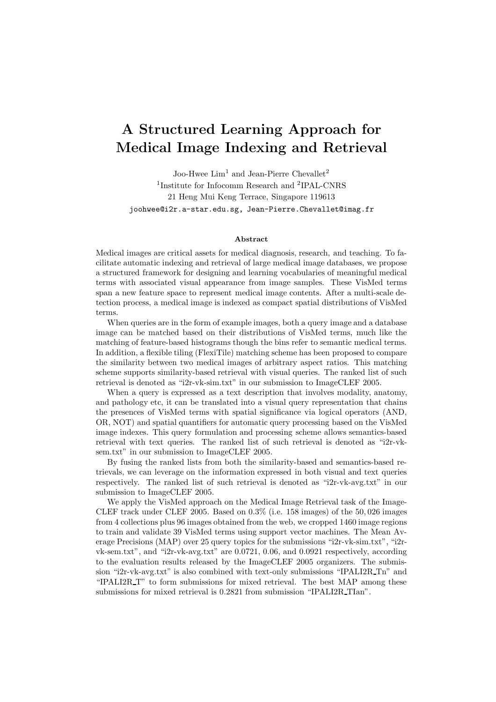# **A Structured Learning Approach for Medical Image Indexing and Retrieval**

Joo-Hwee  $\text{Lim}^1$  and Jean-Pierre Chevallet<sup>2</sup> <sup>1</sup>Institute for Infocomm Research and <sup>2</sup>IPAL-CNRS 21 Heng Mui Keng Terrace, Singapore 119613 joohwee@i2r.a-star.edu.sg, Jean-Pierre.Chevallet@imag.fr

#### **Abstract**

Medical images are critical assets for medical diagnosis, research, and teaching. To facilitate automatic indexing and retrieval of large medical image databases, we propose a structured framework for designing and learning vocabularies of meaningful medical terms with associated visual appearance from image samples. These VisMed terms span a new feature space to represent medical image contents. After a multi-scale detection process, a medical image is indexed as compact spatial distributions of VisMed terms.

When queries are in the form of example images, both a query image and a database image can be matched based on their distributions of VisMed terms, much like the matching of feature-based histograms though the bins refer to semantic medical terms. In addition, a flexible tiling (FlexiTile) matching scheme has been proposed to compare the similarity between two medical images of arbitrary aspect ratios. This matching scheme supports similarity-based retrieval with visual queries. The ranked list of such retrieval is denoted as "i2r-vk-sim.txt" in our submission to ImageCLEF 2005.

When a query is expressed as a text description that involves modality, anatomy, and pathology etc, it can be translated into a visual query representation that chains the presences of VisMed terms with spatial significance via logical operators (AND, OR, NOT) and spatial quantifiers for automatic query processing based on the VisMed image indexes. This query formulation and processing scheme allows semantics-based retrieval with text queries. The ranked list of such retrieval is denoted as "i2r-vksem.txt" in our submission to ImageCLEF 2005.

By fusing the ranked lists from both the similarity-based and semantics-based retrievals, we can leverage on the information expressed in both visual and text queries respectively. The ranked list of such retrieval is denoted as "i2r-vk-avg.txt" in our submission to ImageCLEF 2005.

We apply the VisMed approach on the Medical Image Retrieval task of the Image-CLEF track under CLEF 2005. Based on 0.3% (i.e. 158 images) of the 50, 026 images from 4 collections plus 96 images obtained from the web, we cropped 1460 image regions to train and validate 39 VisMed terms using support vector machines. The Mean Average Precisions (MAP) over 25 query topics for the submissions "i2r-vk-sim.txt", "i2rvk-sem.txt", and "i2r-vk-avg.txt" are 0.0721, 0.06, and 0.0921 respectively, according to the evaluation results released by the ImageCLEF 2005 organizers. The submission "i2r-vk-avg.txt" is also combined with text-only submissions "IPALI2R Tn" and "IPALI2R T" to form submissions for mixed retrieval. The best MAP among these submissions for mixed retrieval is 0.2821 from submission "IPALI2R TIan".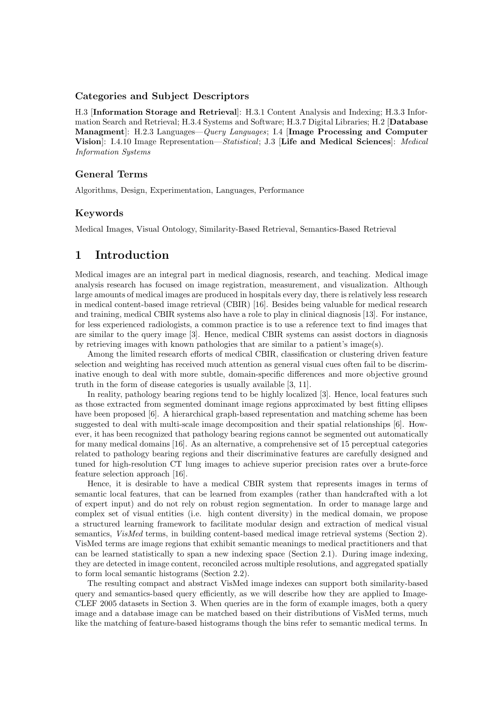### **Categories and Subject Descriptors**

H.3 [**Information Storage and Retrieval**]: H.3.1 Content Analysis and Indexing; H.3.3 Information Search and Retrieval; H.3.4 Systems and Software; H.3.7 Digital Libraries; H.2 [**Database Managment**]: H.2.3 Languages—*Query Languages*; I.4 [**Image Processing and Computer Vision**]: I.4.10 Image Representation—*Statistical*; J.3 [**Life and Medical Sciences**]: *Medical Information Systems*

#### **General Terms**

Algorithms, Design, Experimentation, Languages, Performance

#### **Keywords**

Medical Images, Visual Ontology, Similarity-Based Retrieval, Semantics-Based Retrieval

## **1 Introduction**

Medical images are an integral part in medical diagnosis, research, and teaching. Medical image analysis research has focused on image registration, measurement, and visualization. Although large amounts of medical images are produced in hospitals every day, there is relatively less research in medical content-based image retrieval (CBIR) [16]. Besides being valuable for medical research and training, medical CBIR systems also have a role to play in clinical diagnosis [13]. For instance, for less experienced radiologists, a common practice is to use a reference text to find images that are similar to the query image [3]. Hence, medical CBIR systems can assist doctors in diagnosis by retrieving images with known pathologies that are similar to a patient's image(s).

Among the limited research efforts of medical CBIR, classification or clustering driven feature selection and weighting has received much attention as general visual cues often fail to be discriminative enough to deal with more subtle, domain-specific differences and more objective ground truth in the form of disease categories is usually available [3, 11].

In reality, pathology bearing regions tend to be highly localized [3]. Hence, local features such as those extracted from segmented dominant image regions approximated by best fitting ellipses have been proposed [6]. A hierarchical graph-based representation and matching scheme has been suggested to deal with multi-scale image decomposition and their spatial relationships [6]. However, it has been recognized that pathology bearing regions cannot be segmented out automatically for many medical domains [16]. As an alternative, a comprehensive set of 15 perceptual categories related to pathology bearing regions and their discriminative features are carefully designed and tuned for high-resolution CT lung images to achieve superior precision rates over a brute-force feature selection approach [16].

Hence, it is desirable to have a medical CBIR system that represents images in terms of semantic local features, that can be learned from examples (rather than handcrafted with a lot of expert input) and do not rely on robust region segmentation. In order to manage large and complex set of visual entities (i.e. high content diversity) in the medical domain, we propose a structured learning framework to facilitate modular design and extraction of medical visual semantics, *VisMed* terms, in building content-based medical image retrieval systems (Section 2). VisMed terms are image regions that exhibit semantic meanings to medical practitioners and that can be learned statistically to span a new indexing space (Section 2.1). During image indexing, they are detected in image content, reconciled across multiple resolutions, and aggregated spatially to form local semantic histograms (Section 2.2).

The resulting compact and abstract VisMed image indexes can support both similarity-based query and semantics-based query efficiently, as we will describe how they are applied to Image-CLEF 2005 datasets in Section 3. When queries are in the form of example images, both a query image and a database image can be matched based on their distributions of VisMed terms, much like the matching of feature-based histograms though the bins refer to semantic medical terms. In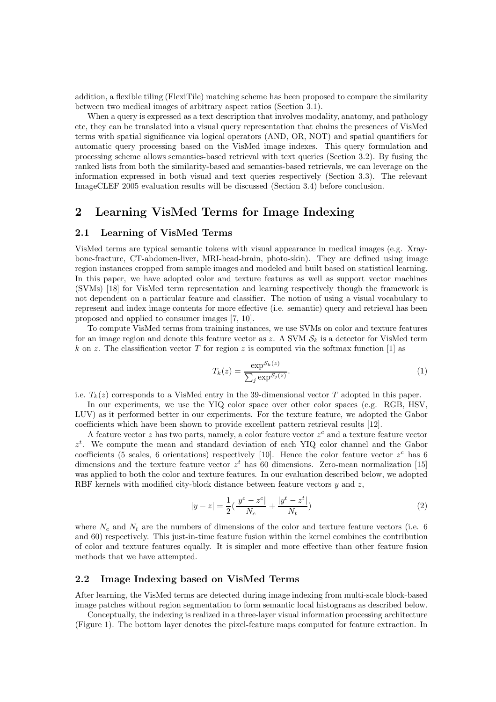addition, a flexible tiling (FlexiTile) matching scheme has been proposed to compare the similarity between two medical images of arbitrary aspect ratios (Section 3.1).

When a query is expressed as a text description that involves modality, anatomy, and pathology etc, they can be translated into a visual query representation that chains the presences of VisMed terms with spatial significance via logical operators (AND, OR, NOT) and spatial quantifiers for automatic query processing based on the VisMed image indexes. This query formulation and processing scheme allows semantics-based retrieval with text queries (Section 3.2). By fusing the ranked lists from both the similarity-based and semantics-based retrievals, we can leverage on the information expressed in both visual and text queries respectively (Section 3.3). The relevant ImageCLEF 2005 evaluation results will be discussed (Section 3.4) before conclusion.

## **2 Learning VisMed Terms for Image Indexing**

#### **2.1 Learning of VisMed Terms**

VisMed terms are typical semantic tokens with visual appearance in medical images (e.g. Xraybone-fracture, CT-abdomen-liver, MRI-head-brain, photo-skin). They are defined using image region instances cropped from sample images and modeled and built based on statistical learning. In this paper, we have adopted color and texture features as well as support vector machines (SVMs) [18] for VisMed term representation and learning respectively though the framework is not dependent on a particular feature and classifier. The notion of using a visual vocabulary to represent and index image contents for more effective (i.e. semantic) query and retrieval has been proposed and applied to consumer images [7, 10].

To compute VisMed terms from training instances, we use SVMs on color and texture features for an image region and denote this feature vector as z. A SVM  $S_k$  is a detector for VisMed term k on z. The classification vector T for region z is computed via the softmax function [1] as

$$
T_k(z) = \frac{\exp^{\mathcal{S}_k(z)}}{\sum_j \exp^{\mathcal{S}_j(z)}}.
$$
\n(1)

i.e.  $T_k(z)$  corresponds to a VisMed entry in the 39-dimensional vector T adopted in this paper.

In our experiments, we use the YIQ color space over other color spaces (e.g. RGB, HSV, LUV) as it performed better in our experiments. For the texture feature, we adopted the Gabor coefficients which have been shown to provide excellent pattern retrieval results [12].

A feature vector z has two parts, namely, a color feature vector z*<sup>c</sup>* and a texture feature vector  $z<sup>t</sup>$ . We compute the mean and standard deviation of each YIQ color channel and the Gabor coefficients (5 scales, 6 orientations) respectively [10]. Hence the color feature vector  $z^c$  has 6 dimensions and the texture feature vector  $z<sup>t</sup>$  has 60 dimensions. Zero-mean normalization [15] was applied to both the color and texture features. In our evaluation described below, we adopted RBF kernels with modified city-block distance between feature vectors  $y$  and  $z$ ,

$$
|y - z| = \frac{1}{2} \left( \frac{|y^c - z^c|}{N_c} + \frac{|y^t - z^t|}{N_t} \right)
$$
 (2)

where  $N_c$  and  $N_t$  are the numbers of dimensions of the color and texture feature vectors (i.e. 6) and 60) respectively. This just-in-time feature fusion within the kernel combines the contribution of color and texture features equally. It is simpler and more effective than other feature fusion methods that we have attempted.

#### **2.2 Image Indexing based on VisMed Terms**

After learning, the VisMed terms are detected during image indexing from multi-scale block-based image patches without region segmentation to form semantic local histograms as described below.

Conceptually, the indexing is realized in a three-layer visual information processing architecture (Figure 1). The bottom layer denotes the pixel-feature maps computed for feature extraction. In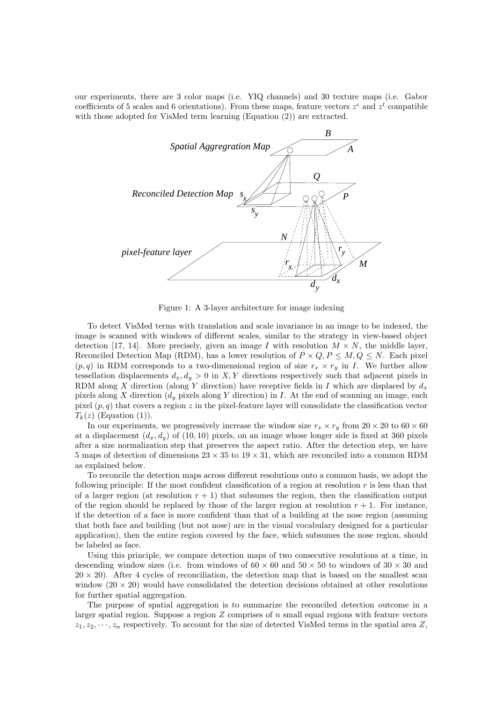our experiments, there are 3 color maps (i.e. YIQ channels) and 30 texture maps (i.e. Gabor coefficients of 5 scales and 6 orientations). From these maps, feature vectors  $z^c$  and  $z^t$  compatible with those adopted for VisMed term learning (Equation (2)) are extracted.



Figure 1: A 3-layer architecture for image indexing

To detect VisMed terms with translation and scale invariance in an image to be indexed, the image is scanned with windows of different scales, similar to the strategy in view-based object detection [17, 14]. More precisely, given an image I with resolution  $M \times N$ , the middle layer, Reconciled Detection Map (RDM), has a lower resolution of  $P \times Q, P \leq M, Q \leq N$ . Each pixel  $(p, q)$  in RDM corresponds to a two-dimensional region of size  $r_x \times r_y$  in I. We further allow tessellation displacements  $d_x, d_y > 0$  in X, Y directions respectively such that adjacent pixels in RDM along X direction (along Y direction) have receptive fields in I which are displaced by d*<sup>x</sup>* pixels along X direction (d*<sup>y</sup>* pixels along Y direction) in I. At the end of scanning an image, each pixel  $(p, q)$  that covers a region z in the pixel-feature layer will consolidate the classification vector  $T_k(z)$  (Equation (1)).

In our experiments, we progressively increase the window size  $r_x \times r_y$  from  $20 \times 20$  to  $60 \times 60$ at a displacement  $(d_x, d_y)$  of (10, 10) pixels, on an image whose longer side is fixed at 360 pixels after a size normalization step that preserves the aspect ratio. After the detection step, we have 5 maps of detection of dimensions  $23 \times 35$  to  $19 \times 31$ , which are reconciled into a common RDM as explained below.

To reconcile the detection maps across different resolutions onto a common basis, we adopt the following principle: If the most confident classification of a region at resolution  $r$  is less than that of a larger region (at resolution  $r + 1$ ) that subsumes the region, then the classification output of the region should be replaced by those of the larger region at resolution  $r + 1$ . For instance, if the detection of a face is more confident than that of a building at the nose region (assuming that both face and building (but not nose) are in the visual vocabulary designed for a particular application), then the entire region covered by the face, which subsumes the nose region, should be labeled as face.

Using this principle, we compare detection maps of two consecutive resolutions at a time, in descending window sizes (i.e. from windows of  $60 \times 60$  and  $50 \times 50$  to windows of  $30 \times 30$  and  $20 \times 20$ . After 4 cycles of reconciliation, the detection map that is based on the smallest scan window  $(20 \times 20)$  would have consolidated the detection decisions obtained at other resolutions for further spatial aggregation.

The purpose of spatial aggregation is to summarize the reconciled detection outcome in a larger spatial region. Suppose a region  $Z$  comprises of  $n$  small equal regions with feature vectors  $z_1, z_2, \dots, z_n$  respectively. To account for the size of detected VisMed terms in the spatial area Z,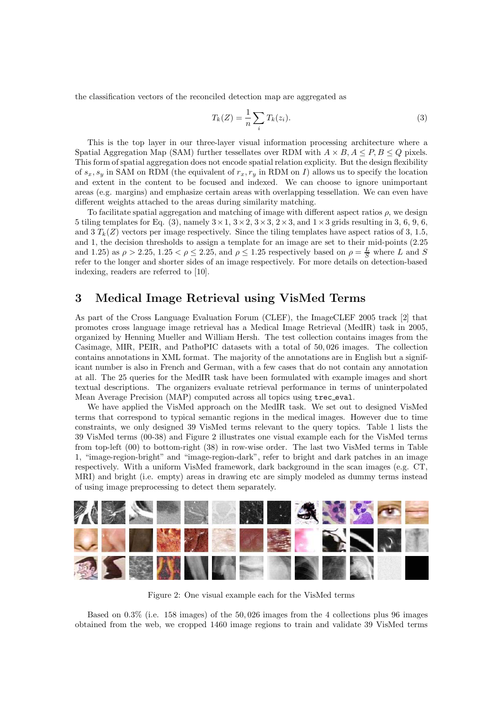the classification vectors of the reconciled detection map are aggregated as

$$
T_k(Z) = \frac{1}{n} \sum_i T_k(z_i). \tag{3}
$$

This is the top layer in our three-layer visual information processing architecture where a Spatial Aggregation Map (SAM) further tessellates over RDM with  $A \times B$ ,  $A \leq P$ ,  $B \leq Q$  pixels. This form of spatial aggregation does not encode spatial relation explicity. But the design flexibility of  $s_x, s_y$  in SAM on RDM (the equivalent of  $r_x, r_y$  in RDM on I) allows us to specify the location and extent in the content to be focused and indexed. We can choose to ignore unimportant areas (e.g. margins) and emphasize certain areas with overlapping tessellation. We can even have different weights attached to the areas during similarity matching.

To facilitate spatial aggregation and matching of image with different aspect ratios  $\rho$ , we design 5 tiling templates for Eq. (3), namely  $3 \times 1$ ,  $3 \times 2$ ,  $3 \times 3$ ,  $2 \times 3$ , and  $1 \times 3$  grids resulting in 3, 6, 9, 6, and  $3 T_k(Z)$  vectors per image respectively. Since the tiling templates have aspect ratios of 3, 1.5, and 1, the decision thresholds to assign a template for an image are set to their mid-points (2.25 and 1.25) as  $\rho > 2.25$ , 1.25  $\lt \rho \leq 2.25$ , and  $\rho \leq 1.25$  respectively based on  $\rho = \frac{L}{S}$  where L and S refer to the longer and shorter sides of an image respectively. For more details on detection-based indexing, readers are referred to [10].

## **3 Medical Image Retrieval using VisMed Terms**

As part of the Cross Language Evaluation Forum (CLEF), the ImageCLEF 2005 track [2] that promotes cross language image retrieval has a Medical Image Retrieval (MedIR) task in 2005, organized by Henning Mueller and William Hersh. The test collection contains images from the Casimage, MIR, PEIR, and PathoPIC datasets with a total of 50, 026 images. The collection contains annotations in XML format. The majority of the annotations are in English but a significant number is also in French and German, with a few cases that do not contain any annotation at all. The 25 queries for the MedIR task have been formulated with example images and short textual descriptions. The organizers evaluate retrieval performance in terms of uninterpolated Mean Average Precision (MAP) computed across all topics using trec eval.

We have applied the VisMed approach on the MedIR task. We set out to designed VisMed terms that correspond to typical semantic regions in the medical images. However due to time constraints, we only designed 39 VisMed terms relevant to the query topics. Table 1 lists the 39 VisMed terms (00-38) and Figure 2 illustrates one visual example each for the VisMed terms from top-left (00) to bottom-right (38) in row-wise order. The last two VisMed terms in Table 1, "image-region-bright" and "image-region-dark", refer to bright and dark patches in an image respectively. With a uniform VisMed framework, dark background in the scan images (e.g. CT, MRI) and bright (i.e. empty) areas in drawing etc are simply modeled as dummy terms instead of using image preprocessing to detect them separately.



Figure 2: One visual example each for the VisMed terms

Based on 0.3% (i.e. 158 images) of the 50, 026 images from the 4 collections plus 96 images obtained from the web, we cropped 1460 image regions to train and validate 39 VisMed terms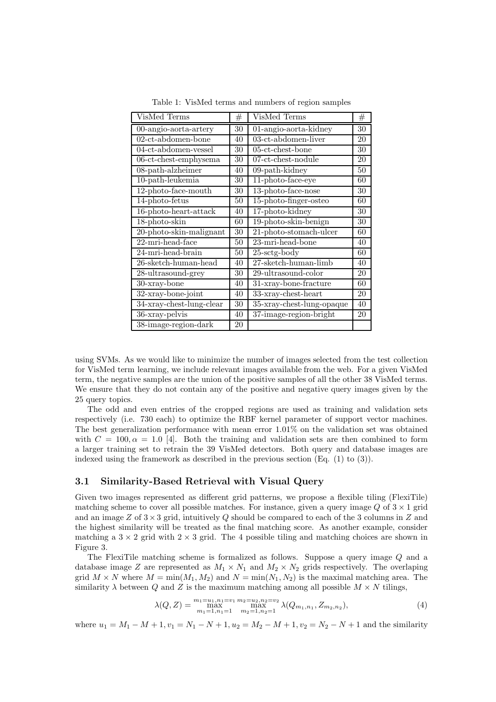| VisMed Terms                                | $^{\#}$ | VisMed Terms                            | $^{\#}$ |
|---------------------------------------------|---------|-----------------------------------------|---------|
| $00$ -angio-aorta-artery                    | 30      | $01$ -angio-aorta-kidney                | 30      |
| 02-ct-abdomen-bone                          | 40      | 03-ct-abdomen-liver                     | 20      |
| 04-ct-abdomen-vessel                        | 30      | $05$ -ct-chest-bone                     | 30      |
| $06$ -ct-chest-emphysema                    | 30      | $\overline{07\text{-}ct}$ -chest-nodule | 20      |
| 08-path-alzheimer                           | 40      | 09-path-kidney                          | 50      |
| 10-path-leukemia                            | 30      | 11-photo-face-eye                       | 60      |
| 12-photo-face-mouth                         | 30      | 13-photo-face-nose                      | 30      |
| 14-photo-fetus                              | 50      | 15-photo-finger-osteo                   | 60      |
| 16-photo-heart-attack                       | 40      | 17-photo-kidney                         | 30      |
| 18-photo-skin                               | 60      | 19-photo-skin-benign                    | 30      |
| $\overline{20\text{-photo-skin-malignant}}$ | 30      | 21-photo-stomach-ulcer                  | 60      |
| 22-mri-head-face                            | 50      | 23-mri-head-bone                        | 40      |
| 24-mri-head-brain                           | 50      | $25$ - $setg$ - $body$                  | 60      |
| 26-sketch-human-head                        | 40      | $27$ -sketch-human-limb                 | 40      |
| 28-ultrasound-grey                          | 30      | 29-ultrasound-color                     | 20      |
| 30-xray-bone                                | 40      | 31-xray-bone-fracture                   | 60      |
| 32-xray-bone-joint                          | 40      | 33-xray-chest-heart                     | 20      |
| 34-xray-chest-lung-clear                    | 30      | 35-xray-chest-lung-opaque               | 40      |
| 36-xray-pelvis                              | 40      | $37$ -image-region-bright               | 20      |
| 38-image-region-dark                        | $20\,$  |                                         |         |

Table 1: VisMed terms and numbers of region samples

using SVMs. As we would like to minimize the number of images selected from the test collection for VisMed term learning, we include relevant images available from the web. For a given VisMed term, the negative samples are the union of the positive samples of all the other 38 VisMed terms. We ensure that they do not contain any of the positive and negative query images given by the 25 query topics.

The odd and even entries of the cropped regions are used as training and validation sets respectively (i.e. 730 each) to optimize the RBF kernel parameter of support vector machines. The best generalization performance with mean error 1.01% on the validation set was obtained with  $C = 100, \alpha = 1.0$  [4]. Both the training and validation sets are then combined to form a larger training set to retrain the 39 VisMed detectors. Both query and database images are indexed using the framework as described in the previous section  $(Eq. (1)$  to  $(3)$ ).

#### **3.1 Similarity-Based Retrieval with Visual Query**

Given two images represented as different grid patterns, we propose a flexible tiling (FlexiTile) matching scheme to cover all possible matches. For instance, given a query image Q of  $3 \times 1$  grid and an image Z of  $3 \times 3$  grid, intuitively Q should be compared to each of the 3 columns in Z and the highest similarity will be treated as the final matching score. As another example, consider matching a  $3 \times 2$  grid with  $2 \times 3$  grid. The 4 possible tiling and matching choices are shown in Figure 3.

The FlexiTile matching scheme is formalized as follows. Suppose a query image Q and a database image Z are represented as  $M_1 \times N_1$  and  $M_2 \times N_2$  grids respectively. The overlaping grid  $M \times N$  where  $M = \min(M_1, M_2)$  and  $N = \min(N_1, N_2)$  is the maximal matching area. The similarity  $\lambda$  between Q and Z is the maximum matching among all possible  $M \times N$  tilings,

$$
\lambda(Q, Z) = \max_{m_1=1, n_1=1}^{m_1=n_1, n_1=v_1} \max_{m_2=1, n_2=1}^{m_2=n_2, n_2=v_2} \lambda(Q_{m_1, n_1}, Z_{m_2, n_2}),
$$
\n(4)

where  $u_1 = M_1 - M + 1$ ,  $v_1 = N_1 - N + 1$ ,  $u_2 = M_2 - M + 1$ ,  $v_2 = N_2 - N + 1$  and the similarity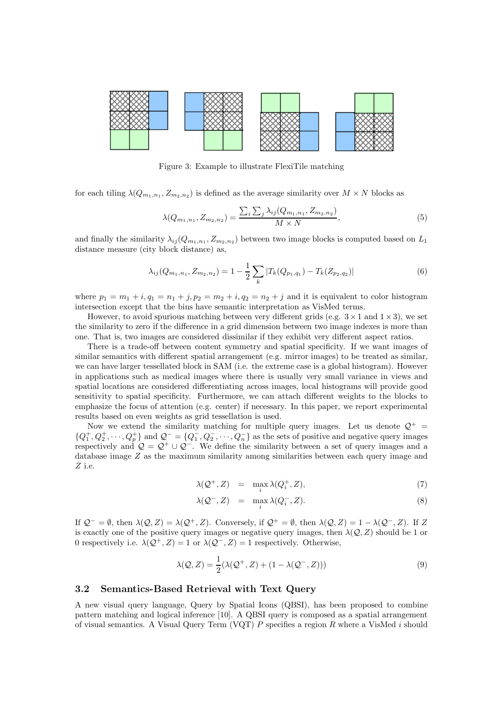

Figure 3: Example to illustrate FlexiTile matching

for each tiling  $\lambda(Q_{m_1,n_1}, Z_{m_2,n_2})$  is defined as the average similarity over  $M \times N$  blocks as

$$
\lambda(Q_{m_1,n_1}, Z_{m_2,n_2}) = \frac{\sum_{i} \sum_{j} \lambda_{ij}(Q_{m_1,n_1}, Z_{m_2,n_2})}{M \times N},\tag{5}
$$

and finally the similarity  $\lambda_{ij}(Q_{m_1,n_1}, Z_{m_2,n_2})$  between two image blocks is computed based on  $L_1$ distance measure (city block distance) as,

$$
\lambda_{ij}(Q_{m_1,n_1}, Z_{m_2,n_2}) = 1 - \frac{1}{2} \sum_{k} |T_k(Q_{p_1,q_1}) - T_k(Z_{p_2,q_2})| \tag{6}
$$

where  $p_1 = m_1 + i$ ,  $q_1 = n_1 + j$ ,  $p_2 = m_2 + i$ ,  $q_2 = n_2 + j$  and it is equivalent to color histogram intersection except that the bins have semantic interpretation as VisMed terms.

However, to avoid spurious matching between very different grids (e.g.  $3 \times 1$  and  $1 \times 3$ ), we set the similarity to zero if the difference in a grid dimension between two image indexes is more than one. That is, two images are considered dissimilar if they exhibit very different aspect ratios.

There is a trade-off between content symmetry and spatial specificity. If we want images of similar semantics with different spatial arrangement (e.g. mirror images) to be treated as similar, we can have larger tessellated block in SAM (i.e. the extreme case is a global histogram). However in applications such as medical images where there is usually very small variance in views and spatial locations are considered differentiating across images, local histograms will provide good sensitivity to spatial specificity. Furthermore, we can attach different weights to the blocks to emphasize the focus of attention (e.g. center) if necessary. In this paper, we report experimental results based on even weights as grid tessellation is used.

Now we extend the similarity matching for multiple query images. Let us denote  $\mathcal{Q}^+$  =  $\{Q_1^+, Q_2^+, \cdots, Q_p^+\}$  and  $\mathcal{Q}^- = \{Q_1^-, Q_2^-, \cdots, Q_n^-\}$  as the sets of positive and negative query images respectively and  $\mathcal{Q} = \mathcal{Q}^+ \cup \mathcal{Q}^-$ . We define the similarity between a set of query images and a database image Z as the maximum similarity among similarities between each query image and  $Z$  i.e.

$$
\lambda(\mathcal{Q}^+, Z) = \max_i \lambda(Q_i^+, Z), \tag{7}
$$

$$
\lambda(Q^-, Z) = \max_i \lambda(Q_i^-, Z). \tag{8}
$$

If  $\mathcal{Q}^- = \emptyset$ , then  $\lambda(\mathcal{Q}, Z) = \lambda(\mathcal{Q}^+, Z)$ . Conversely, if  $\mathcal{Q}^+ = \emptyset$ , then  $\lambda(\mathcal{Q}, Z) = 1 - \lambda(\mathcal{Q}^-, Z)$ . If Z is exactly one of the positive query images or negative query images, then  $\lambda(Q, Z)$  should be 1 or 0 respectively i.e.  $\lambda(\mathcal{Q}^+, Z) = 1$  or  $\lambda(\mathcal{Q}^-, Z) = 1$  respectively. Otherwise,

$$
\lambda(\mathcal{Q}, Z) = \frac{1}{2} (\lambda(\mathcal{Q}^+, Z) + (1 - \lambda(\mathcal{Q}^-, Z))) \tag{9}
$$

#### **3.2 Semantics-Based Retrieval with Text Query**

A new visual query language, Query by Spatial Icons (QBSI), has been proposed to combine pattern matching and logical inference [10]. A QBSI query is composed as a spatial arrangement of visual semantics. A Visual Query Term (VQT)  $P$  specifies a region  $R$  where a VisMed  $i$  should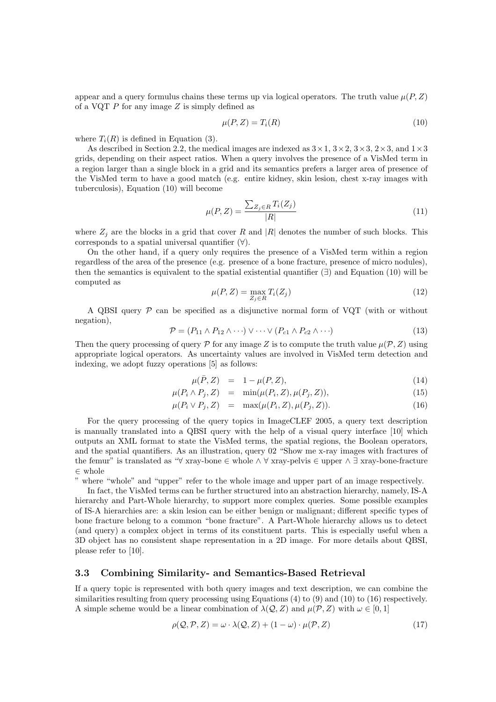appear and a query formulus chains these terms up via logical operators. The truth value  $\mu(P, Z)$ of a VQT P for any image Z is simply defined as

$$
\mu(P, Z) = T_i(R) \tag{10}
$$

where  $T_i(R)$  is defined in Equation (3).

As described in Section 2.2, the medical images are indexed as  $3 \times 1$ ,  $3 \times 2$ ,  $3 \times 3$ ,  $2 \times 3$ , and  $1 \times 3$ grids, depending on their aspect ratios. When a query involves the presence of a VisMed term in a region larger than a single block in a grid and its semantics prefers a larger area of presence of the VisMed term to have a good match (e.g. entire kidney, skin lesion, chest x-ray images with tuberculosis), Equation (10) will become

$$
\mu(P, Z) = \frac{\sum_{Z_j \in R} T_i(Z_j)}{|R|} \tag{11}
$$

where  $Z_j$  are the blocks in a grid that cover R and |R| denotes the number of such blocks. This corresponds to a spatial universal quantifier  $(\forall)$ .

On the other hand, if a query only requires the presence of a VisMed term within a region regardless of the area of the presence (e.g. presence of a bone fracture, presence of micro nodules), then the semantics is equivalent to the spatial existential quantifier  $(\exists)$  and Equation (10) will be computed as

$$
\mu(P, Z) = \max_{Z_i \in R} T_i(Z_j) \tag{12}
$$

A QBSI query  $P$  can be specified as a disjunctive normal form of VQT (with or without negation),

$$
\mathcal{P} = (P_{11} \land P_{12} \land \cdots) \lor \cdots \lor (P_{c1} \land P_{c2} \land \cdots)
$$
\n(13)

Then the query processing of query  $\mathcal P$  for any image Z is to compute the truth value  $\mu(\mathcal P, Z)$  using appropriate logical operators. As uncertainty values are involved in VisMed term detection and indexing, we adopt fuzzy operations [5] as follows:

$$
\mu(\bar{P}, Z) = 1 - \mu(P, Z), \tag{14}
$$

$$
\mu(P_i \wedge P_j, Z) = \min(\mu(P_i, Z), \mu(P_j, Z)), \qquad (15)
$$

$$
\mu(P_i \vee P_j, Z) = \max(\mu(P_i, Z), \mu(P_j, Z)). \tag{16}
$$

For the query processing of the query topics in ImageCLEF 2005, a query text description is manually translated into a QBSI query with the help of a visual query interface [10] which outputs an XML format to state the VisMed terms, the spatial regions, the Boolean operators, and the spatial quantifiers. As an illustration, query 02 "Show me x-ray images with fractures of the femur" is translated as "∀ xray-bone ∈ whole ∧ ∀ xray-pelvis ∈ upper ∧ ∃ xray-bone-fracture ∈ whole

" where "whole" and "upper" refer to the whole image and upper part of an image respectively.

In fact, the VisMed terms can be further structured into an abstraction hierarchy, namely, IS-A hierarchy and Part-Whole hierarchy, to support more complex queries. Some possible examples of IS-A hierarchies are: a skin lesion can be either benign or malignant; different specific types of bone fracture belong to a common "bone fracture". A Part-Whole hierarchy allows us to detect (and query) a complex object in terms of its constituent parts. This is especially useful when a 3D object has no consistent shape representation in a 2D image. For more details about QBSI, please refer to [10].

#### **3.3 Combining Similarity- and Semantics-Based Retrieval**

If a query topic is represented with both query images and text description, we can combine the similarities resulting from query processing using Equations  $(4)$  to  $(9)$  and  $(10)$  to  $(16)$  respectively. A simple scheme would be a linear combination of  $\lambda(Q, Z)$  and  $\mu(\mathcal{P}, Z)$  with  $\omega \in [0, 1]$ 

$$
\rho(Q, \mathcal{P}, Z) = \omega \cdot \lambda(Q, Z) + (1 - \omega) \cdot \mu(\mathcal{P}, Z) \tag{17}
$$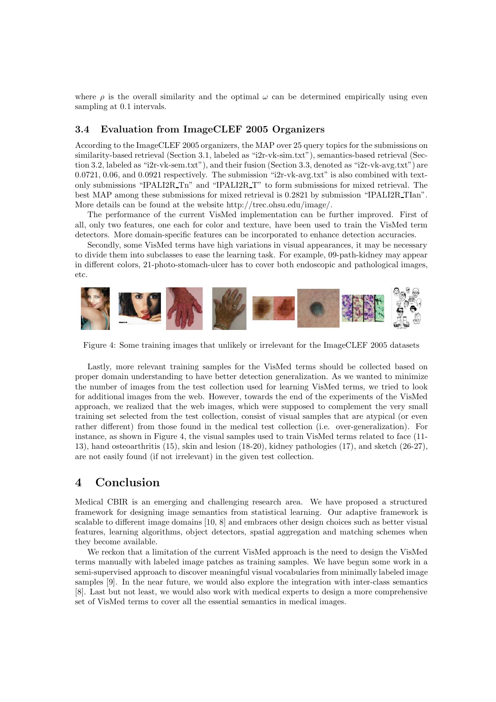where  $\rho$  is the overall similarity and the optimal  $\omega$  can be determined empirically using even sampling at 0.1 intervals.

#### **3.4 Evaluation from ImageCLEF 2005 Organizers**

According to the ImageCLEF 2005 organizers, the MAP over 25 query topics for the submissions on similarity-based retrieval (Section 3.1, labeled as "i2r-vk-sim.txt"), semantics-based retrieval (Section 3.2, labeled as "i2r-vk-sem.txt"), and their fusion (Section 3.3, denoted as "i2r-vk-avg.txt") are 0.0721, 0.06, and 0.0921 respectively. The submission "i2r-vk-avg.txt" is also combined with textonly submissions "IPALI2R Tn" and "IPALI2R T" to form submissions for mixed retrieval. The best MAP among these submissions for mixed retrieval is 0.2821 by submission "IPALI2R TIan". More details can be found at the website http://trec.ohsu.edu/image/.

The performance of the current VisMed implementation can be further improved. First of all, only two features, one each for color and texture, have been used to train the VisMed term detectors. More domain-specific features can be incorporated to enhance detection accuracies.

Secondly, some VisMed terms have high variations in visual appearances, it may be necessary to divide them into subclasses to ease the learning task. For example, 09-path-kidney may appear in different colors, 21-photo-stomach-ulcer has to cover both endoscopic and pathological images, etc.



Figure 4: Some training images that unlikely or irrelevant for the ImageCLEF 2005 datasets

Lastly, more relevant training samples for the VisMed terms should be collected based on proper domain understanding to have better detection generalization. As we wanted to minimize the number of images from the test collection used for learning VisMed terms, we tried to look for additional images from the web. However, towards the end of the experiments of the VisMed approach, we realized that the web images, which were supposed to complement the very small training set selected from the test collection, consist of visual samples that are atypical (or even rather different) from those found in the medical test collection (i.e. over-generalization). For instance, as shown in Figure 4, the visual samples used to train VisMed terms related to face (11- 13), hand osteoarthritis (15), skin and lesion (18-20), kidney pathologies (17), and sketch (26-27), are not easily found (if not irrelevant) in the given test collection.

## **4 Conclusion**

Medical CBIR is an emerging and challenging research area. We have proposed a structured framework for designing image semantics from statistical learning. Our adaptive framework is scalable to different image domains [10, 8] and embraces other design choices such as better visual features, learning algorithms, object detectors, spatial aggregation and matching schemes when they become available.

We reckon that a limitation of the current VisMed approach is the need to design the VisMed terms manually with labeled image patches as training samples. We have begun some work in a semi-supervised approach to discover meaningful visual vocabularies from minimally labeled image samples [9]. In the near future, we would also explore the integration with inter-class semantics [8]. Last but not least, we would also work with medical experts to design a more comprehensive set of VisMed terms to cover all the essential semantics in medical images.